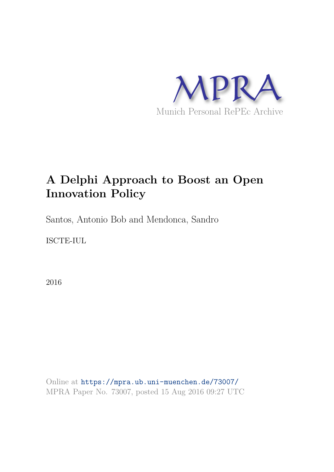

# **A Delphi Approach to Boost an Open Innovation Policy**

Santos, Antonio Bob and Mendonca, Sandro

ISCTE-IUL

2016

Online at https://mpra.ub.uni-muenchen.de/73007/ MPRA Paper No. 73007, posted 15 Aug 2016 09:27 UTC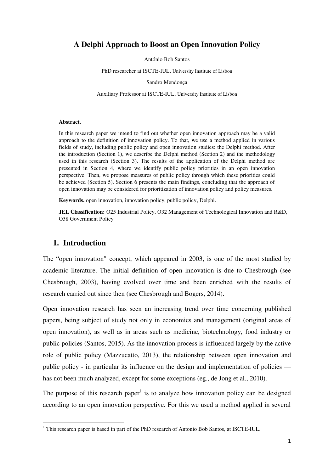# **A Delphi Approach to Boost an Open Innovation Policy**

António Bob Santos

PhD researcher at ISCTE-IUL, University Institute of Lisbon

Sandro Mendonça

Auxiliary Professor at ISCTE-IUL, University Institute of Lisbon

#### **Abstract.**

In this research paper we intend to find out whether open innovation approach may be a valid approach to the definition of innovation policy. To that, we use a method applied in various fields of study, including public policy and open innovation studies: the Delphi method. After the introduction (Section 1), we describe the Delphi method (Section 2) and the methodology used in this research (Section 3). The results of the application of the Delphi method are presented in Section 4, where we identify public policy priorities in an open innovation perspective. Then, we propose measures of public policy through which these priorities could be achieved (Section 5). Section 6 presents the main findings, concluding that the approach of open innovation may be considered for prioritization of innovation policy and policy measures.

**Keywords.** open innovation, innovation policy, public policy, Delphi.

**JEL Classification:** O25 Industrial Policy, O32 Management of Technological Innovation and R&D, O38 Government Policy

## **1. Introduction**

 $\overline{a}$ 

The "open innovation" concept, which appeared in 2003, is one of the most studied by academic literature. The initial definition of open innovation is due to Chesbrough (see Chesbrough, 2003), having evolved over time and been enriched with the results of research carried out since then (see Chesbrough and Bogers, 2014).

Open innovation research has seen an increasing trend over time concerning published papers, being subject of study not only in economics and management (original areas of open innovation), as well as in areas such as medicine, biotechnology, food industry or public policies (Santos, 2015). As the innovation process is influenced largely by the active role of public policy (Mazzucatto, 2013), the relationship between open innovation and public policy - in particular its influence on the design and implementation of policies has not been much analyzed, except for some exceptions (eg., de Jong et al., 2010).

The purpose of this research paper<sup>1</sup> is to analyze how innovation policy can be designed according to an open innovation perspective. For this we used a method applied in several

<sup>&</sup>lt;sup>1</sup> This research paper is based in part of the PhD research of Antonio Bob Santos, at ISCTE-IUL.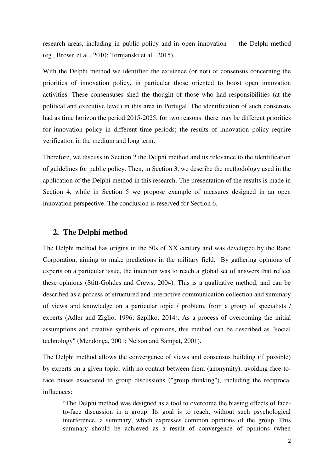research areas, including in public policy and in open innovation — the Delphi method (eg., Brown et al., 2010; Tornjanski et al., 2015).

With the Delphi method we identified the existence (or not) of consensus concerning the priorities of innovation policy, in particular those oriented to boost open innovation activities. These consensuses shed the thought of those who had responsibilities (at the political and executive level) in this area in Portugal. The identification of such consensus had as time horizon the period 2015-2025, for two reasons: there may be different priorities for innovation policy in different time periods; the results of innovation policy require verification in the medium and long term.

Therefore, we discuss in Section 2 the Delphi method and its relevance to the identification of guidelines for public policy. Then, in Section 3, we describe the methodology used in the application of the Delphi method in this research. The presentation of the results is made in Section 4, while in Section 5 we propose example of measures designed in an open innovation perspective. The conclusion is reserved for Section 6.

# **2. The Delphi method**

The Delphi method has origins in the 50s of XX century and was developed by the Rand Corporation, aiming to make predictions in the military field. By gathering opinions of experts on a particular issue, the intention was to reach a global set of answers that reflect these opinions (Stitt-Gohdes and Crews, 2004). This is a qualitative method, and can be described as a process of structured and interactive communication collection and summary of views and knowledge on a particular topic / problem, from a group of specialists / experts (Adler and Ziglio, 1996; Szpilko, 2014). As a process of overcoming the initial assumptions and creative synthesis of opinions, this method can be described as "social technology" (Mendonça, 2001; Nelson and Sampat, 2001).

The Delphi method allows the convergence of views and consensus building (if possible) by experts on a given topic, with no contact between them (anonymity), avoiding face-toface biases associated to group discussions ("group thinking"), including the reciprocal influences:

"The Delphi method was designed as a tool to overcome the biasing effects of faceto-face discussion in a group. Its goal is to reach, without such psychological interference, a summary, which expresses common opinions of the group. This summary should be achieved as a result of convergence of opinions (when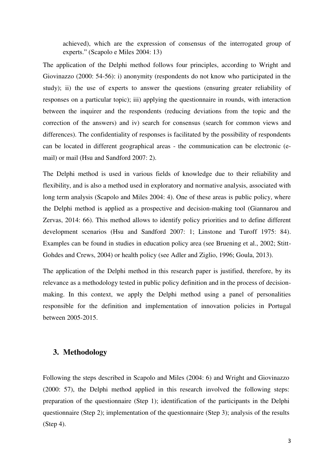achieved), which are the expression of consensus of the interrogated group of experts." (Scapolo e Miles 2004: 13)

The application of the Delphi method follows four principles, according to Wright and Giovinazzo (2000: 54-56): i) anonymity (respondents do not know who participated in the study); ii) the use of experts to answer the questions (ensuring greater reliability of responses on a particular topic); iii) applying the questionnaire in rounds, with interaction between the inquirer and the respondents (reducing deviations from the topic and the correction of the answers) and iv) search for consensus (search for common views and differences). The confidentiality of responses is facilitated by the possibility of respondents can be located in different geographical areas - the communication can be electronic (email) or mail (Hsu and Sandford 2007: 2).

The Delphi method is used in various fields of knowledge due to their reliability and flexibility, and is also a method used in exploratory and normative analysis, associated with long term analysis (Scapolo and Miles 2004: 4). One of these areas is public policy, where the Delphi method is applied as a prospective and decision-making tool (Giannarou and Zervas, 2014: 66). This method allows to identify policy priorities and to define different development scenarios (Hsu and Sandford 2007: 1; Linstone and Turoff 1975: 84). Examples can be found in studies in education policy area (see Bruening et al., 2002; Stitt-Gohdes and Crews, 2004) or health policy (see Adler and Ziglio, 1996; Goula, 2013).

The application of the Delphi method in this research paper is justified, therefore, by its relevance as a methodology tested in public policy definition and in the process of decisionmaking. In this context, we apply the Delphi method using a panel of personalities responsible for the definition and implementation of innovation policies in Portugal between 2005-2015.

## **3. Methodology**

Following the steps described in Scapolo and Miles (2004: 6) and Wright and Giovinazzo (2000: 57), the Delphi method applied in this research involved the following steps: preparation of the questionnaire (Step 1); identification of the participants in the Delphi questionnaire (Step 2); implementation of the questionnaire (Step 3); analysis of the results (Step 4).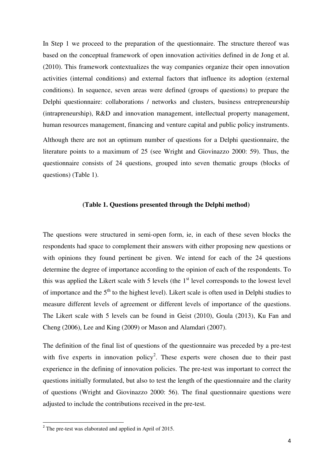In Step 1 we proceed to the preparation of the questionnaire. The structure thereof was based on the conceptual framework of open innovation activities defined in de Jong et al. (2010). This framework contextualizes the way companies organize their open innovation activities (internal conditions) and external factors that influence its adoption (external conditions). In sequence, seven areas were defined (groups of questions) to prepare the Delphi questionnaire: collaborations / networks and clusters, business entrepreneurship (intrapreneurship), R&D and innovation management, intellectual property management, human resources management, financing and venture capital and public policy instruments.

Although there are not an optimum number of questions for a Delphi questionnaire, the literature points to a maximum of 25 (see Wright and Giovinazzo 2000: 59). Thus, the questionnaire consists of 24 questions, grouped into seven thematic groups (blocks of questions) (Table 1).

#### **(Table 1. Questions presented through the Delphi method)**

The questions were structured in semi-open form, ie, in each of these seven blocks the respondents had space to complement their answers with either proposing new questions or with opinions they found pertinent be given. We intend for each of the 24 questions determine the degree of importance according to the opinion of each of the respondents. To this was applied the Likert scale with 5 levels (the  $1<sup>st</sup>$  level corresponds to the lowest level of importance and the  $5<sup>th</sup>$  to the highest level). Likert scale is often used in Delphi studies to measure different levels of agreement or different levels of importance of the questions. The Likert scale with 5 levels can be found in Geist (2010), Goula (2013), Ku Fan and Cheng (2006), Lee and King (2009) or Mason and Alamdari (2007).

The definition of the final list of questions of the questionnaire was preceded by a pre-test with five experts in innovation policy<sup>2</sup>. These experts were chosen due to their past experience in the defining of innovation policies. The pre-test was important to correct the questions initially formulated, but also to test the length of the questionnaire and the clarity of questions (Wright and Giovinazzo 2000: 56). The final questionnaire questions were adjusted to include the contributions received in the pre-test.

l

 $2^2$  The pre-test was elaborated and applied in April of 2015.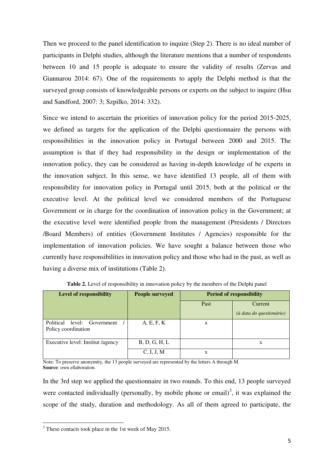Then we proceed to the panel identification to inquire (Step 2). There is no ideal number of participants in Delphi studies, although the literature mentions that a number of respondents between 10 and 15 people is adequate to ensure the validity of results (Zervas and Giannarou 2014: 67). One of the requirements to apply the Delphi method is that the surveyed group consists of knowledgeable persons or experts on the subject to inquire (Hsu and Sandford, 2007: 3; Szpilko, 2014: 332).

Since we intend to ascertain the priorities of innovation policy for the period 2015-2025, we defined as targets for the application of the Delphi questionnaire the persons with responsibilities in the innovation policy in Portugal between 2000 and 2015. The assumption is that if they had responsibility in the design or implementation of the innovation policy, they can be considered as having in-depth knowledge of be experts in the innovation subject. In this sense, we have identified 13 people, all of them with responsibility for innovation policy in Portugal until 2015, both at the political or the executive level. At the political level we considered members of the Portuguese Government or in charge for the coordination of innovation policy in the Government; at the executive level were identified people from the management (Presidents / Directors /Board Members) of entities (Government Institutes / Agencies) responsible for the implementation of innovation policies. We have sought a balance between those who currently have responsibilities in innovation policy and those who had in the past, as well as having a diverse mix of institutions (Table 2).

| <b>Level of responsibility</b>    | <b>People surveyed</b> | <b>Period of responsibility</b> |                          |  |  |  |
|-----------------------------------|------------------------|---------------------------------|--------------------------|--|--|--|
|                                   |                        | Past                            | Current                  |  |  |  |
|                                   |                        |                                 | (à data do questionário) |  |  |  |
| Political<br>level: Government    | A, E, F, K             | X                               |                          |  |  |  |
| Policy coordination               |                        |                                 |                          |  |  |  |
| Executive level: Institut /agency | B, D, G, H, L          |                                 | X                        |  |  |  |
|                                   | C, I, J, M             | X                               |                          |  |  |  |

**Table 2.** Level of responsibility in innovation policy by the members of the Delphi panel

Note: To preserve anonymity, the 13 people surveyed are represented by the letters A through M. **Source**: own ellaboration.

In the 3rd step we applied the questionnaire in two rounds. To this end, 13 people surveyed were contacted individually (personally, by mobile phone or email)<sup>3</sup>, it was explained the scope of the study, duration and methodology. As all of them agreed to participate, the

 $\overline{a}$ 

 $3$  These contacts took place in the 1st week of May 2015.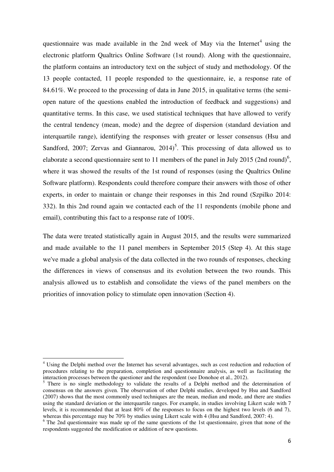questionnaire was made available in the 2nd week of May via the Internet<sup>4</sup> using the electronic platform Qualtrics Online Software (1st round). Along with the questionnaire, the platform contains an introductory text on the subject of study and methodology. Of the 13 people contacted, 11 people responded to the questionnaire, ie, a response rate of 84.61%. We proceed to the processing of data in June 2015, in qualitative terms (the semiopen nature of the questions enabled the introduction of feedback and suggestions) and quantitative terms. In this case, we used statistical techniques that have allowed to verify the central tendency (mean, mode) and the degree of dispersion (standard deviation and interquartile range), identifying the responses with greater or lesser consensus (Hsu and Sandford, 2007; Zervas and Giannarou,  $2014$ <sup>5</sup>. This processing of data allowed us to elaborate a second questionnaire sent to 11 members of the panel in July 2015 (2nd round)<sup>6</sup>, where it was showed the results of the 1st round of responses (using the Qualtrics Online Software platform). Respondents could therefore compare their answers with those of other experts, in order to maintain or change their responses in this 2nd round (Szpilko 2014: 332). In this 2nd round again we contacted each of the 11 respondents (mobile phone and email), contributing this fact to a response rate of 100%.

The data were treated statistically again in August 2015, and the results were summarized and made available to the 11 panel members in September 2015 (Step 4). At this stage we've made a global analysis of the data collected in the two rounds of responses, checking the differences in views of consensus and its evolution between the two rounds. This analysis allowed us to establish and consolidate the views of the panel members on the priorities of innovation policy to stimulate open innovation (Section 4).

l

<sup>&</sup>lt;sup>4</sup> Using the Delphi method over the Internet has several advantages, such as cost reduction and reduction of procedures relating to the preparation, completion and questionnaire analysis, as well as facilitating the interaction processes between the questioner and the respondent (see Donohoe et al., 2012).

<sup>&</sup>lt;sup>5</sup> There is no single methodology to validate the results of a Delphi method and the determination of consensus on the answers given. The observation of other Delphi studies, developed by Hsu and Sandford (2007) shows that the most commonly used techniques are the mean, median and mode, and there are studies using the standard deviation or the interquartile ranges. For example, in studies involving Likert scale with 7 levels, it is recommended that at least 80% of the responses to focus on the highest two levels (6 and 7), whereas this percentage may be 70% by studies using Likert scale with 4 (Hsu and Sandford, 2007: 4).

<sup>&</sup>lt;sup>6</sup> The 2nd questionnaire was made up of the same questions of the 1st questionnaire, given that none of the respondents suggested the modification or addition of new questions.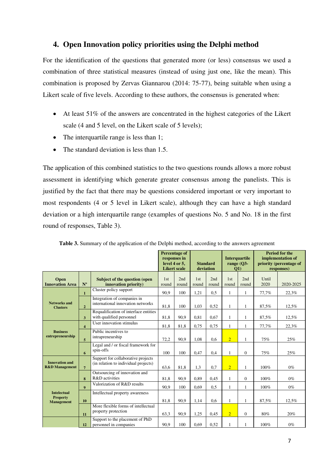# **4. Open Innovation policy priorities using the Delphi method**

For the identification of the questions that generated more (or less) consensus we used a combination of three statistical measures (instead of using just one, like the mean). This combination is proposed by Zervas Giannarou (2014: 75-77), being suitable when using a Likert scale of five levels. According to these authors, the consensus is generated when:

- At least 51% of the answers are concentrated in the highest categories of the Likert scale (4 and 5 level, on the Likert scale of 5 levels);
- The interquartile range is less than 1;
- The standard deviation is less than 1.5.

The application of this combined statistics to the two questions rounds allows a more robust assessment in identifying which generate greater consensus among the panelists. This is justified by the fact that there may be questions considered important or very important to most respondents (4 or 5 level in Likert scale), although they can have a high standard deviation or a high interquartile range (examples of questions No. 5 and No. 18 in the first round of responses, Table 3).

|                                                            |                         |                                                                            | <b>Percentage of</b><br>responses in<br>level 4 or 5,<br><b>Likert scale</b> |              | <b>Standard</b><br>deviation |              | <b>Interquartile</b><br>range $(O3 -$<br>$\left( 01\right)$ |              | <b>Period for the</b><br>implementation of<br>priority (percentage of<br>responses) |           |
|------------------------------------------------------------|-------------------------|----------------------------------------------------------------------------|------------------------------------------------------------------------------|--------------|------------------------------|--------------|-------------------------------------------------------------|--------------|-------------------------------------------------------------------------------------|-----------|
| <b>Open</b><br><b>Innovation Area</b>                      | $N^{\rm o}$             | Subject of the question (open<br>innovation priority)                      | 1st<br>round                                                                 | 2nd<br>round | 1st<br>round                 | 2nd<br>round | 1st<br>round                                                | 2nd<br>round | Until<br>2020                                                                       | 2020-2025 |
| <b>Networks and</b><br><b>Clusters</b>                     | $\mathbf{1}$            | Cluster policy support                                                     | 90.9                                                                         | 100          | 1,21                         | 0,5          | 1                                                           | 1            | 77,7%                                                                               | 22,3%     |
|                                                            | $\overline{2}$          | Integration of companies in<br>international innovation networks           | 81,8                                                                         | 100          | 1.03                         | 0,52         | 1                                                           | 1            | 87,5%                                                                               | 12,5%     |
|                                                            | 3                       | Requalification of interface entities<br>with qualified personnel          | 81.8                                                                         | 90.9         | 0.81                         | 0.67         | 1                                                           | 1            | 87,5%                                                                               | 12.5%     |
| <b>Business</b><br>entrepreneurship                        | $\overline{\mathbf{4}}$ | User innovation stimulus                                                   | 81,8                                                                         | 81,8         | 0.75                         | 0,75         | $\mathbf{1}$                                                | 1            | 77,7%                                                                               | 22,3%     |
|                                                            | 5                       | Public incentives to<br>intrapreneurship                                   | 72,2                                                                         | 90.9         | 1,08                         | 0,6          | $\overline{2}$                                              | 1            | 75%                                                                                 | 25%       |
|                                                            | 6                       | Legal and / or fiscal framework for<br>spin-offs                           | 100                                                                          | 100          | 0,47                         | 0,4          | 1                                                           | $\mathbf{0}$ | 75%                                                                                 | 25%       |
| <b>Innovation and</b><br><b>R&amp;D</b> Management         | $\overline{7}$          | Support for collaborative projects<br>(in relation to individual projects) | 63,6                                                                         | 81,8         | 1,3                          | 0,7          | $\overline{2}$                                              | 1            | 100%                                                                                | $0\%$     |
|                                                            | 8                       | Outsourcing of innovation and<br>R&D activities                            | 81,8                                                                         | 90.9         | 0.89                         | 0,45         | 1                                                           | $\Omega$     | 100%                                                                                | $0\%$     |
| <b>Intelectual</b><br><b>Property</b><br><b>Management</b> | $\mathbf{Q}$            | Valorization of R&D results                                                | 90.9                                                                         | 100          | 0.69                         | 0.5          | 1                                                           | 1            | 100%                                                                                | $0\%$     |
|                                                            | 10                      | Intellectual property awareness                                            | 81,8                                                                         | 90.9         | 1,14                         | 0.6          | 1                                                           | 1            | 87,5%                                                                               | 12,5%     |
|                                                            | 11                      | More flexible forms of intellectual<br>property protection                 | 63,3                                                                         | 90,9         | 1,25                         | 0,45         | $\overline{2}$                                              | $\Omega$     | 80%                                                                                 | 20%       |
|                                                            | 12                      | Support to the placement of PhD<br>personnel in companies                  | 90,9                                                                         | 100          | 0.69                         | 0,52         | 1                                                           | 1            | 100%                                                                                | $0\%$     |

**Table 3.** Summary of the application of the Delphi method, according to the answers agreement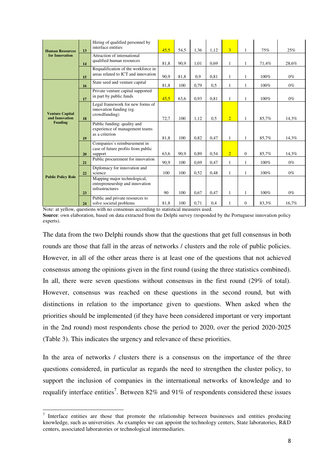| <b>Human Resources</b><br>for Innovation                   | 13 | Hiring of qualified personnel by<br>interface entities                             | 45,5 | 54,5 | 1,36 | 1,12 | 3              | $\mathbf{1}$     | 75%   | 25%   |
|------------------------------------------------------------|----|------------------------------------------------------------------------------------|------|------|------|------|----------------|------------------|-------|-------|
|                                                            | 14 | Attraction of international<br>qualified human resources                           | 81,8 | 90,9 | 1,01 | 0.69 | 1              | 1                | 71,4% | 28,6% |
|                                                            | 15 | Requalification of the workforce in<br>areas related to ICT and innovation         | 90,9 | 81,8 | 0.9  | 0.81 | 1              |                  | 100%  | $0\%$ |
| <b>Venture Capital</b><br>and Innovation<br><b>Funding</b> | 16 | State seed and venture capital                                                     | 81.8 | 100  | 0.79 | 0.5  | $\mathbf{1}$   | 1                | 100%  | $0\%$ |
|                                                            | 17 | Private venture capital supported<br>in part by public funds                       | 45.5 | 63.6 | 0.93 | 0.81 | 1              | 1                | 100%  | $0\%$ |
|                                                            | 18 | Legal framework for new forms of<br>innovation funding (eg.<br>crowdfunding)       | 72,7 | 100  | 1.12 | 0.5  | $\overline{2}$ | 1                | 85,7% | 14,3% |
|                                                            | 19 | Public funding: quality and<br>experience of management teams<br>as a criterion    | 81.8 | 100  | 0.82 | 0.47 | 1              | 1                | 85,7% | 14.3% |
|                                                            | 20 | Companies's reimbursement in<br>case of future profits from public<br>support      | 63.6 | 90.9 | 0.89 | 0.54 | $\overline{2}$ | $\mathbf{0}$     | 85,7% | 14.3% |
| <b>Public Policy Role</b>                                  | 21 | Public procurement for innovation                                                  | 90.9 | 100  | 0.69 | 0,47 | 1              | 1                | 100%  | $0\%$ |
|                                                            | 22 | Diplomacy for innovation and<br>science                                            | 100  | 100  | 0,52 | 0,48 | 1              | 1                | 100%  | $0\%$ |
|                                                            | 23 | Mapping major technological,<br>entrepreneurship and innovation<br>infrastructures | 90   | 100  | 0.67 | 0,47 | 1              | 1                | 100%  | $0\%$ |
|                                                            | 24 | Public and private resources to<br>solve societal problems                         | 81,8 | 100  | 0,71 | 0,4  |                | $\boldsymbol{0}$ | 83,3% | 16,7% |

Note: at yellow, questions with no consensus according to statistical measures used. **Source**: own elaboration, based on data extracted from the Delphi survey (responded by the Portuguese innovation policy experts).

The data from the two Delphi rounds show that the questions that get full consensus in both rounds are those that fall in the areas of networks / clusters and the role of public policies. However, in all of the other areas there is at least one of the questions that not achieved consensus among the opinions given in the first round (using the three statistics combined). In all, there were seven questions without consensus in the first round (29% of total). However, consensus was reached on these questions in the second round, but with distinctions in relation to the importance given to questions. When asked when the priorities should be implemented (if they have been considered important or very important in the 2nd round) most respondents chose the period to 2020, over the period 2020-2025 (Table 3). This indicates the urgency and relevance of these priorities.

In the area of networks / clusters there is a consensus on the importance of the three questions considered, in particular as regards the need to strengthen the cluster policy, to support the inclusion of companies in the international networks of knowledge and to requalify interface entities<sup>7</sup>. Between 82% and 91% of respondents considered these issues

 $\overline{a}$ 

 $7$  Interface entities are those that promote the relationship between businesses and entities producing knowledge, such as universities. As examples we can appoint the technology centers, State laboratories, R&D centers, associated laboratories or technological intermediaries.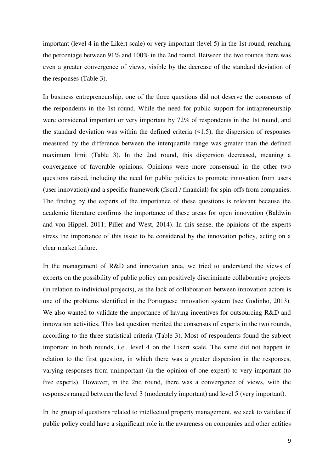important (level 4 in the Likert scale) or very important (level 5) in the 1st round, reaching the percentage between 91% and 100% in the 2nd round. Between the two rounds there was even a greater convergence of views, visible by the decrease of the standard deviation of the responses (Table 3).

In business entrepreneurship, one of the three questions did not deserve the consensus of the respondents in the 1st round. While the need for public support for intrapreneurship were considered important or very important by 72% of respondents in the 1st round, and the standard deviation was within the defined criteria  $(1.5)$ , the dispersion of responses measured by the difference between the interquartile range was greater than the defined maximum limit (Table 3). In the 2nd round, this dispersion decreased, meaning a convergence of favorable opinions. Opinions were more consensual in the other two questions raised, including the need for public policies to promote innovation from users (user innovation) and a specific framework (fiscal / financial) for spin-offs from companies. The finding by the experts of the importance of these questions is relevant because the academic literature confirms the importance of these areas for open innovation (Baldwin and von Hippel, 2011; Piller and West, 2014). In this sense, the opinions of the experts stress the importance of this issue to be considered by the innovation policy, acting on a clear market failure.

In the management of R&D and innovation area, we tried to understand the views of experts on the possibility of public policy can positively discriminate collaborative projects (in relation to individual projects), as the lack of collaboration between innovation actors is one of the problems identified in the Portuguese innovation system (see Godinho, 2013). We also wanted to validate the importance of having incentives for outsourcing R&D and innovation activities. This last question merited the consensus of experts in the two rounds, according to the three statistical criteria (Table 3). Most of respondents found the subject important in both rounds, i.e., level 4 on the Likert scale. The same did not happen in relation to the first question, in which there was a greater dispersion in the responses, varying responses from unimportant (in the opinion of one expert) to very important (to five experts). However, in the 2nd round, there was a convergence of views, with the responses ranged between the level 3 (moderately important) and level 5 (very important).

In the group of questions related to intellectual property management, we seek to validate if public policy could have a significant role in the awareness on companies and other entities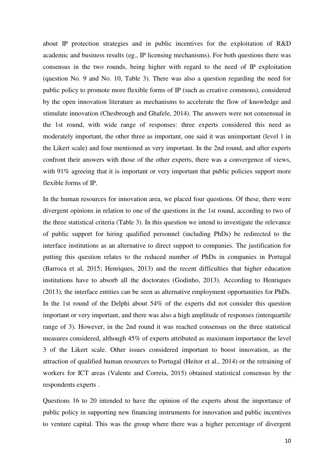about IP protection strategies and in public incentives for the exploitation of R&D academic and business results (eg., IP licensing mechanisms). For both questions there was consensus in the two rounds, being higher with regard to the need of IP exploitation (question No. 9 and No. 10, Table 3). There was also a question regarding the need for public policy to promote more flexible forms of IP (such as creative commons), considered by the open innovation literature as mechanisms to accelerate the flow of knowledge and stimulate innovation (Chesbrough and Ghafele, 2014). The answers were not consensual in the 1st round, with wide range of responses: three experts considered this need as moderately important, the other three as important, one said it was unimportant (level 1 in the Likert scale) and four mentioned as very important. In the 2nd round, and after experts confront their answers with those of the other experts, there was a convergence of views, with 91% agreeing that it is important or very important that public policies support more flexible forms of IP.

In the human resources for innovation area, we placed four questions. Of these, there were divergent opinions in relation to one of the questions in the 1st round, according to two of the three statistical criteria (Table 3). In this question we intend to investigate the relevance of public support for hiring qualified personnel (including PhDs) be redirected to the interface institutions as an alternative to direct support to companies. The justification for putting this question relates to the reduced number of PhDs in companies in Portugal (Barroca et al, 2015; Henriques, 2013) and the recent difficulties that higher education institutions have to absorb all the doctorates (Godinho, 2013). According to Henriques (2013), the interface entities can be seen as alternative employment opportunities for PhDs. In the 1st round of the Delphi about 54% of the experts did not consider this question important or very important, and there was also a high amplitude of responses (interquartile range of 3). However, in the 2nd round it was reached consensus on the three statistical measures considered, although 45% of experts attributed as maximum importance the level 3 of the Likert scale. Other issues considered important to boost innovation, as the attraction of qualified human resources to Portugal (Heitor et al., 2014) or the retraining of workers for ICT areas (Valente and Correia, 2015) obtained statistical consensus by the respondents experts .

Questions 16 to 20 intended to have the opinion of the experts about the importance of public policy in supporting new financing instruments for innovation and public incentives to venture capital. This was the group where there was a higher percentage of divergent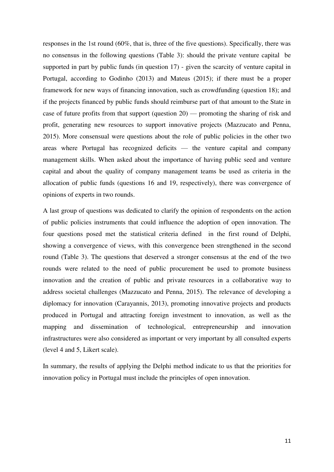responses in the 1st round (60%, that is, three of the five questions). Specifically, there was no consensus in the following questions (Table 3): should the private venture capital be supported in part by public funds (in question 17) - given the scarcity of venture capital in Portugal, according to Godinho (2013) and Mateus (2015); if there must be a proper framework for new ways of financing innovation, such as crowdfunding (question 18); and if the projects financed by public funds should reimburse part of that amount to the State in case of future profits from that support (question 20) — promoting the sharing of risk and profit, generating new resources to support innovative projects (Mazzucato and Penna, 2015). More consensual were questions about the role of public policies in the other two areas where Portugal has recognized deficits — the venture capital and company management skills. When asked about the importance of having public seed and venture capital and about the quality of company management teams be used as criteria in the allocation of public funds (questions 16 and 19, respectively), there was convergence of opinions of experts in two rounds.

A last group of questions was dedicated to clarify the opinion of respondents on the action of public policies instruments that could influence the adoption of open innovation. The four questions posed met the statistical criteria defined in the first round of Delphi, showing a convergence of views, with this convergence been strengthened in the second round (Table 3). The questions that deserved a stronger consensus at the end of the two rounds were related to the need of public procurement be used to promote business innovation and the creation of public and private resources in a collaborative way to address societal challenges (Mazzucato and Penna, 2015). The relevance of developing a diplomacy for innovation (Carayannis, 2013), promoting innovative projects and products produced in Portugal and attracting foreign investment to innovation, as well as the mapping and dissemination of technological, entrepreneurship and innovation infrastructures were also considered as important or very important by all consulted experts (level 4 and 5, Likert scale).

In summary, the results of applying the Delphi method indicate to us that the priorities for innovation policy in Portugal must include the principles of open innovation.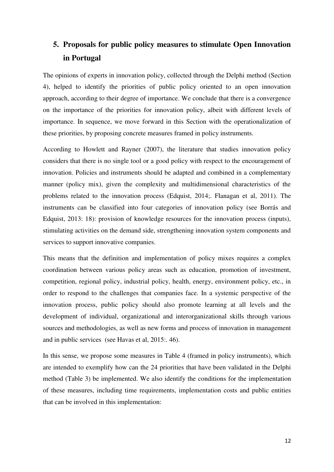# **5. Proposals for public policy measures to stimulate Open Innovation in Portugal**

The opinions of experts in innovation policy, collected through the Delphi method (Section 4), helped to identify the priorities of public policy oriented to an open innovation approach, according to their degree of importance. We conclude that there is a convergence on the importance of the priorities for innovation policy, albeit with different levels of importance. In sequence, we move forward in this Section with the operationalization of these priorities, by proposing concrete measures framed in policy instruments.

According to Howlett and Rayner (2007), the literature that studies innovation policy considers that there is no single tool or a good policy with respect to the encouragement of innovation. Policies and instruments should be adapted and combined in a complementary manner (policy mix), given the complexity and multidimensional characteristics of the problems related to the innovation process (Edquist, 2014;. Flanagan et al, 2011). The instruments can be classified into four categories of innovation policy (see Borrás and Edquist, 2013: 18): provision of knowledge resources for the innovation process (inputs), stimulating activities on the demand side, strengthening innovation system components and services to support innovative companies.

This means that the definition and implementation of policy mixes requires a complex coordination between various policy areas such as education, promotion of investment, competition, regional policy, industrial policy, health, energy, environment policy, etc., in order to respond to the challenges that companies face. In a systemic perspective of the innovation process, public policy should also promote learning at all levels and the development of individual, organizational and interorganizational skills through various sources and methodologies, as well as new forms and process of innovation in management and in public services (see Havas et al, 2015:. 46).

In this sense, we propose some measures in Table 4 (framed in policy instruments), which are intended to exemplify how can the 24 priorities that have been validated in the Delphi method (Table 3) be implemented. We also identify the conditions for the implementation of these measures, including time requirements, implementation costs and public entities that can be involved in this implementation: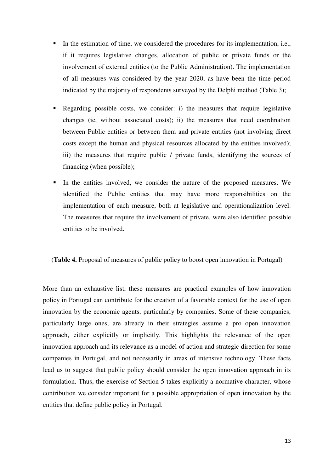- In the estimation of time, we considered the procedures for its implementation, i.e., if it requires legislative changes, allocation of public or private funds or the involvement of external entities (to the Public Administration). The implementation of all measures was considered by the year 2020, as have been the time period indicated by the majority of respondents surveyed by the Delphi method (Table 3);
- Regarding possible costs, we consider: i) the measures that require legislative changes (ie, without associated costs); ii) the measures that need coordination between Public entities or between them and private entities (not involving direct costs except the human and physical resources allocated by the entities involved); iii) the measures that require public / private funds, identifying the sources of financing (when possible);
- In the entities involved, we consider the nature of the proposed measures. We identified the Public entities that may have more responsibilities on the implementation of each measure, both at legislative and operationalization level. The measures that require the involvement of private, were also identified possible entities to be involved.

(**Table 4.** Proposal of measures of public policy to boost open innovation in Portugal)

More than an exhaustive list, these measures are practical examples of how innovation policy in Portugal can contribute for the creation of a favorable context for the use of open innovation by the economic agents, particularly by companies. Some of these companies, particularly large ones, are already in their strategies assume a pro open innovation approach, either explicitly or implicitly. This highlights the relevance of the open innovation approach and its relevance as a model of action and strategic direction for some companies in Portugal, and not necessarily in areas of intensive technology. These facts lead us to suggest that public policy should consider the open innovation approach in its formulation. Thus, the exercise of Section 5 takes explicitly a normative character, whose contribution we consider important for a possible appropriation of open innovation by the entities that define public policy in Portugal.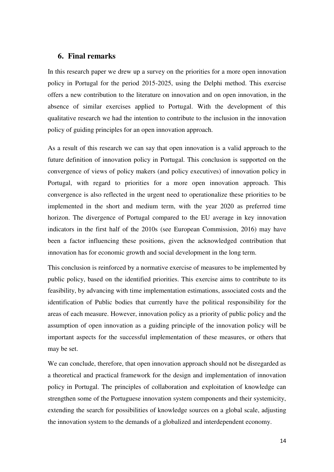## **6. Final remarks**

In this research paper we drew up a survey on the priorities for a more open innovation policy in Portugal for the period 2015-2025, using the Delphi method. This exercise offers a new contribution to the literature on innovation and on open innovation, in the absence of similar exercises applied to Portugal. With the development of this qualitative research we had the intention to contribute to the inclusion in the innovation policy of guiding principles for an open innovation approach.

As a result of this research we can say that open innovation is a valid approach to the future definition of innovation policy in Portugal. This conclusion is supported on the convergence of views of policy makers (and policy executives) of innovation policy in Portugal, with regard to priorities for a more open innovation approach. This convergence is also reflected in the urgent need to operationalize these priorities to be implemented in the short and medium term, with the year 2020 as preferred time horizon. The divergence of Portugal compared to the EU average in key innovation indicators in the first half of the 2010s (see European Commission, 2016) may have been a factor influencing these positions, given the acknowledged contribution that innovation has for economic growth and social development in the long term.

This conclusion is reinforced by a normative exercise of measures to be implemented by public policy, based on the identified priorities. This exercise aims to contribute to its feasibility, by advancing with time implementation estimations, associated costs and the identification of Public bodies that currently have the political responsibility for the areas of each measure. However, innovation policy as a priority of public policy and the assumption of open innovation as a guiding principle of the innovation policy will be important aspects for the successful implementation of these measures, or others that may be set.

We can conclude, therefore, that open innovation approach should not be disregarded as a theoretical and practical framework for the design and implementation of innovation policy in Portugal. The principles of collaboration and exploitation of knowledge can strengthen some of the Portuguese innovation system components and their systemicity, extending the search for possibilities of knowledge sources on a global scale, adjusting the innovation system to the demands of a globalized and interdependent economy.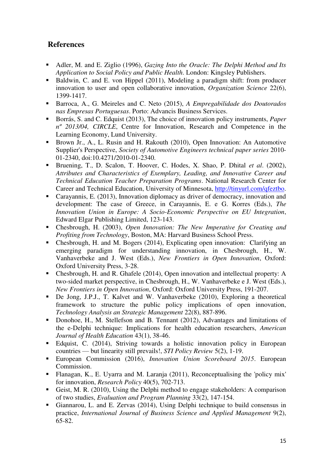# **References**

- Adler, M. and E. Ziglio (1996), *Gazing Into the Oracle: The Delphi Method and Its Application to Social Policy and Public Health*. London: Kingsley Publishers.
- Baldwin, C. and E. von Hippel (2011), Modeling a paradigm shift: from producer innovation to user and open collaborative innovation, *Organization Science* 22(6), 1399-1417.
- Barroca, A., G. Meireles and C. Neto (2015), *A Empregabilidade dos Doutorados nas Empresas Portuguesas*. Porto: Advancis Business Services.
- Borrás, S. and C. Edquist (2013), The choice of innovation policy instruments, *Paper nº 2013/04, CIRCLE*, Centre for Innovation, Research and Competence in the Learning Economy, Lund University.
- Brown Jr., A., L. Rusin and H. Rakouth (2010), Open Innovation: An Automotive Supplier's Perspective, *Society of Automotive Engineers technical paper series* 2010- 01-2340, doi:10.4271/2010-01-2340.
- Bruening, T., D. Scalon, T. Hoover, C. Hodes, X. Shao, P. Dhital *et al*. (2002), *Attributes and Characteristics of Exemplary, Leading, and Innovative Career and Technical Education Teacher Preparation Programs*. National Research Center for Career and Technical Education, University of Minnesota, [http://tinyurl.com/qfeztbo.](http://tinyurl.com/qfeztbo)
- Carayannis, E. (2013), Innovation diplomacy as driver of democracy, innovation and development: The case of Greece, in Carayannis, E. e G. Korres (Eds.), *The Innovation Union in Europe: A Socio-Economic Perspective on EU Integration*, Edward Elgar Publishing Limited, 123-143.
- Chesbrough, H. (2003), *Open Innovation: The New Imperative for Creating and Profiting from Technology*, Boston, MA: Harvard Business School Press.
- Chesbrough, H. and M. Bogers (2014), Explicating open innovation: Clarifying an emerging paradigm for understanding innovation, in Chesbrough, H., W. Vanhaverbeke and J. West (Eds.), *New Frontiers in Open Innovation*, Oxford: Oxford University Press, 3-28.
- Chesbrough, H. and R. Ghafele (2014), Open innovation and intellectual property: A two-sided market perspective, in Chesbrough, H., W. Vanhaverbeke e J. West (Eds.), *New Frontiers in Open Innovation*, Oxford: Oxford University Press, 191-207.
- De Jong, J.P.J., T. Kalvet and W. Vanhaverbeke (2010), Exploring a theoretical framework to structure the public policy implications of open innovation, *Technology Analysis an Strategic Management* 22(8), 887-896.
- Donohoe, H., M. Stellefson and B. Tennant (2012), Advantages and limitations of the e-Delphi technique: Implications for health education researchers, *American Journal of Health Education* 43(1), 38-46.
- Edquist, C. (2014), Striving towards a holistic innovation policy in European countries — but linearity still prevails!, *STI Policy Review* 5(2), 1-19.
- European Commission (2016), *Innovation Union Scoreboard 2015*. European Commission.
- Flanagan, K., E. Uyarra and M. Laranja (2011), Reconceptualising the 'policy mix' for innovation, *Research Policy* 40(5), 702-713.
- Geist, M. R. (2010), Using the Delphi method to engage stakeholders: A comparison of two studies, *Evaluation and Program Planning* 33(2), 147-154.
- Giannarou, L. and E. Zervas (2014), Using Delphi technique to build consensus in practice, *International Journal of Business Science and Applied Management* 9(2), 65-82.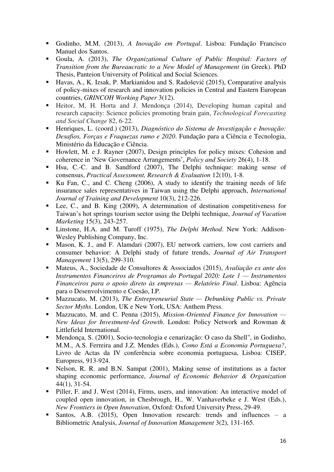- Godinho, M.M. (2013), *A Inovação em Portugal*. Lisboa: Fundação Francisco Manuel dos Santos.
- Goula, A. (2013), *The Organizational Culture of Public Hospital: Factors of Transition from the Bureaucratic to a New Model of Management* (in Greek). PhD Thesis, Panteion University of Political and Social Sciences.
- Havas, A., K. Izsak, P. Markianidou and S. Radošević (2015), Comparative analysis of policy-mixes of research and innovation policies in Central and Eastern European countries, *GRINCOH Working Paper* 3(12).
- Heitor, M, H. Horta and J. Mendonça (2014), Developing human capital and research capacity: Science policies promoting brain gain, *Technological Forecasting and Social Change* 82, 6-22.
- Henriques, L. (coord.) (2013), *Diagnóstico do Sistema de Investigação e Inovação: Desafios, Forças e Fraquezas rumo e 2020*. Fundação para a Ciência e Tecnologia, Ministério da Educação e Ciência.
- Howlett, M. e J. Rayner (2007), Design principles for policy mixes: Cohesion and coherence in 'New Governance Arrangements', *Policy and Society* 26(4), 1-18.
- Hsu, C.-C. and B. Sandford (2007), The Delphi technique: making sense of consensus, *Practical Assessment, Research & Evaluation* 12(10), 1-8.
- Ku Fan, C., and C. Cheng (2006), A study to identify the training needs of life insurance sales representatives in Taiwan using the Delphi approach, *International Journal of Training and Development* 10(3), 212-226.
- Lee, C., and B. King (2009), A determination of destination competitiveness for Taiwan's hot springs tourism sector using the Delphi technique, *Journal of Vacation Marketing* 15(3), 243-257.
- Linstone, H.A. and M. Turoff (1975), *The Delphi Method*. New York: Addison-Wesley Publishing Company, Inc.
- Mason, K. J., and F. Alamdari (2007), EU network carriers, low cost carriers and consumer behavior: A Delphi study of future trends, *Journal of Air Transport Management* 13(5), 299-310.
- Mateus, A., Sociedade de Consultores & Associados (2015), *Avaliação ex ante dos Instrumentos Financeiros de Programas do Portugal 2020: Lote 1 — Instrumentos Financeiros para o apoio direto às empresas — Relatório Final*. Lisboa: Agência para o Desenvolvimento e Coesão, I.P.
- Mazzucato, M. (2013), *The Entrepreneurial State Debunking Public vs. Private Sector Myths*. London, UK e New York, USA: Anthem Press.
- Mazzucato, M. and C. Penna (2015), *Mission-Oriented Finance for Innovation — New Ideas for Investment-led Growth*. London: Policy Network and Rowman & Littlefield International.
- Mendonça, S. (2001), Socio-tecnologia e cenarização: O caso da Shell", in Godinho, M.M., A.S. Ferreira and J.Z. Mendes (Eds.), *Como Está a Economia Portuguesa?*, Livro de Actas da IV conferência sobre economia portuguesa, Lisboa: CISEP, Europress, 913-924.
- Nelson, R. R. and B.N. Sampat (2001), Making sense of institutions as a factor shaping economic performance, *Journal of Economic Behavior & Organization* 44(1), 31-54.
- **Piller, F. and J. West (2014), Firms, users, and innovation: An interactive model of** coupled open innovation, in Chesbrough, H., W. Vanhaverbeke e J. West (Eds.), *New Frontiers in Open Innovation*, Oxford: Oxford University Press, 29-49.
- Santos, A.B. (2015), Open Innovation research: trends and influences a Bibliometric Analysis, *Journal of Innovation Management* 3(2), 131-165.